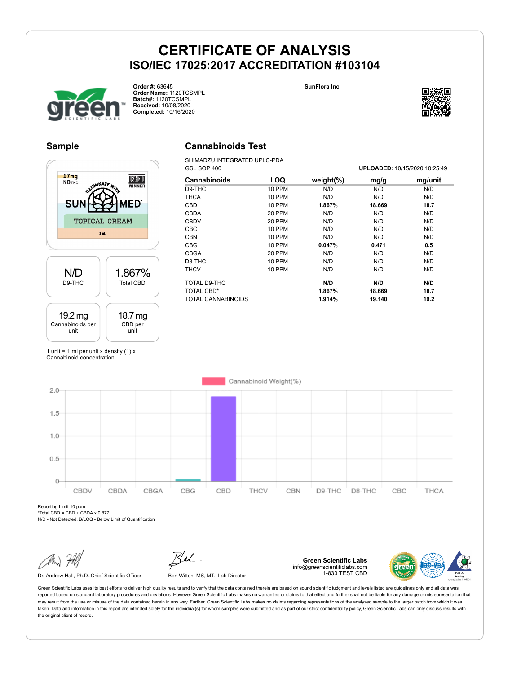**Cannabinoids Test** SHIMADZU INTEGRATED UPLC-PDA





**Order #:** 63645 **Order Name:** 1120TCSMPL **Batch#:** 1120TCSMPL **Received:** 10/08/2020 **Completed:** 10/16/2020



#### **Sample**

#### $17mg$ **USA-CBD ND**THC MINATE, ED Sl TOPICAL CREAM  $1ml$ 1.867% N/D D9-THC Total CBD 19.2 mg 18.7 mg Cannabinoids per CBD per unit unit

#### GSL SOP 400 **UPLOADED:** 10/15/2020 10:25:49 **Cannabinoids LOQ weight(%) mg/g mg/unit** D9-THC 10 PPM N/D N/D N/D THCA 10 PPM N/D N/D N/D CBD 10 PPM **1.867**% **18.669 18.7** CBDA 20 PPM N/D N/D N/D CBDV 20 PPM N/D N/D N/D CBC 10 PPM N/D N/D N/D CBN 10 PPM N/D N/D N/D CBG 10 PPM **0.047**% **0.471 0.5** CBGA 20 PPM N/D N/D N/D D8-THC 10 PPM N/D N/D N/D THCV 10 PPM N/D N/D N/D TOTAL D9-THC **N/D N/D N/D** TOTAL CBD\* **1.867% 18.669 18.7** TOTAL CANNABINOIDS **1.914% 19.140 19.2**

1 unit = 1 ml per unit x density  $(1)$  x Cannabinoid concentration



Reporting Limit 10 ppm \*Total CBD = CBD + CBDA x 0.877

N/D - Not Detected, B/LOQ - Below Limit of Quantification

Dr. Andrew Hall, Ph.D., Chief Scientific Officer Ben Witten, MS, MT., Lab Director

**Green Scientific Labs** info@greenscientificlabs.com 1-833 TEST CBD

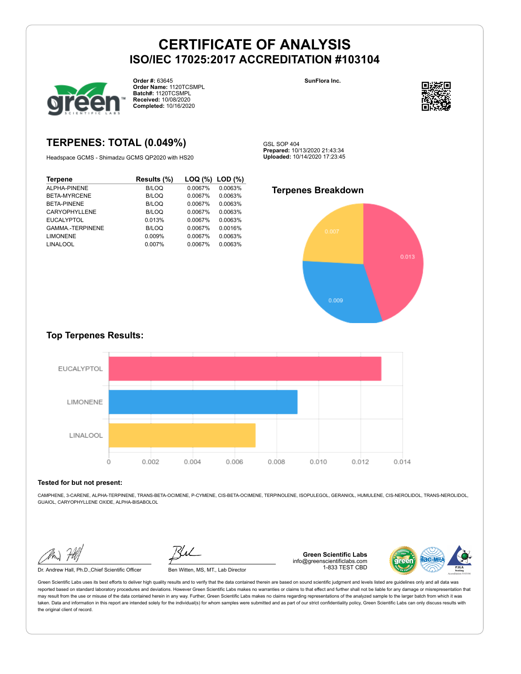GSL SOP 404



**Order #:** 63645 **Order Name:** 1120TCSMPL **Batch#:** 1120TCSMPL **Received:** 10/08/2020 **Completed:** 10/16/2020

**SunFlora Inc.**



**TERPENES: TOTAL (0.049%)**

Headspace GCMS - Shimadzu GCMS QP2020 with HS20

| <b>Terpene</b>         | Results (%)  | LOQ (%) | $LOD (\%)$ |
|------------------------|--------------|---------|------------|
| ALPHA-PINENE           | <b>B/LOQ</b> | 0.0067% | 0.0063%    |
| BETA-MYRCENE           | <b>B/LOQ</b> | 0.0067% | 0.0063%    |
| BETA-PINENE            | <b>B/LOQ</b> | 0.0067% | 0.0063%    |
| <b>CARYOPHYLLENE</b>   | B/LOQ        | 0.0067% | 0.0063%    |
| <b>EUCALYPTOL</b>      | 0.013%       | 0.0067% | 0.0063%    |
| <b>GAMMA-TERPINENE</b> | <b>B/LOQ</b> | 0.0067% | 0.0016%    |
| <b>LIMONENE</b>        | 0.009%       | 0.0067% | 0.0063%    |
| <b>LINALOOL</b>        | 0.007%       | 0.0067% | 0.0063%    |

**Terpenes Breakdown**

**Prepared:** 10/13/2020 21:43:34 **Uploaded:** 10/14/2020 17:23:45



#### **Top Terpenes Results:**



#### **Tested for but not present:**

CAMPHENE, 3-CARENE, ALPHA-TERPINENE, TRANS-BETA-OCIMENE, P-CYMENE, CIS-BETA-OCIMENE, TERPINOLENE, ISOPULEGOL, GERANIOL, HUMULENE, CIS-NEROLIDOL, TRANS-NEROLIDOL, GUAIOL, CARYOPHYLLENE OXIDE, ALPHA-BISABOLOL

Dr. Andrew Hall, Ph.D.,Chief Scientific Officer Ben Witten, MS, MT., Lab Director

**Green Scientific Labs** info@greenscientificlabs.com 1-833 TEST CBD

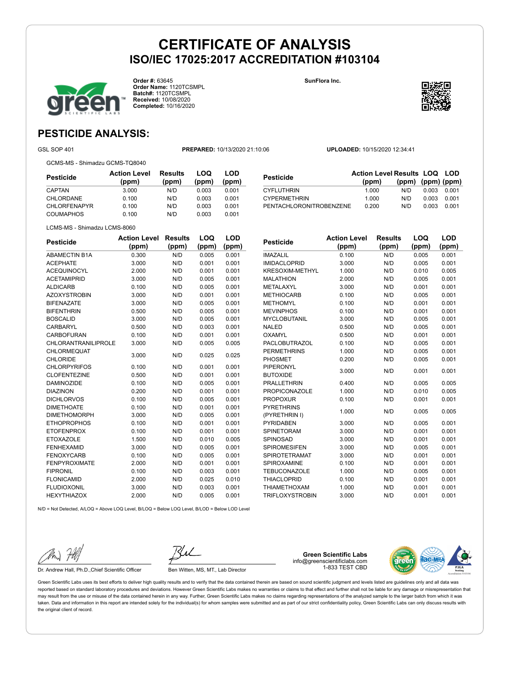

**Order #:** 63645 **Order Name:** 1120TCSMPL **Batch#:** 1120TCSMPL **Received:** 10/08/2020 **Completed:** 10/16/2020

**LOQ (ppm)**

**LOD (ppm)** **SunFlora Inc.**



**LOQ**

**LOD**

### **PESTICIDE ANALYSIS:**

LCMS-MS - Shimadzu LCMS-8060

GSL SOP 401 **PREPARED:** 10/13/2020 21:10:06 **UPLOADED:** 10/15/2020 12:34:41

GCMS-MS - Shimadzu GCMS-TQ8040

| Pesticide           | <b>Action Level</b><br>(ppm) | Results<br>(ppm) | LOQ<br>(ppm) | LOD<br>(ppm) |
|---------------------|------------------------------|------------------|--------------|--------------|
| <b>CAPTAN</b>       | 3.000                        | N/D              | 0.003        | 0.001        |
| <b>CHLORDANE</b>    | 0.100                        | N/D              | 0.003        | 0.001        |
| <b>CHLORFENAPYR</b> | 0.100                        | N/D              | 0.003        | 0.001        |
| <b>COUMAPHOS</b>    | 0.100                        | N/D              | 0.003        | 0.001        |

| <b>Pesticide</b>        | <b>Action Level Results LOQ LOD</b> |                   |       |       |
|-------------------------|-------------------------------------|-------------------|-------|-------|
|                         | (ppm)                               | (ppm) (ppm) (ppm) |       |       |
| <b>CYFLUTHRIN</b>       | 1.000                               | N/D               | 0.003 | 0.001 |
| <b>CYPERMETHRIN</b>     | 1.000                               | N/D               | 0.003 | 0.001 |
| PENTACHLORONITROBENZENE | 0.200                               | N/D               | 0.003 | 0.001 |

| Pesticide            | <b>Action Level Results</b><br>(ppm) | (ppm) | <b>LOQ</b><br>(ppm) | LOD<br>(ppm) |
|----------------------|--------------------------------------|-------|---------------------|--------------|
|                      |                                      |       |                     |              |
| <b>ABAMECTIN B1A</b> | 0.300                                | N/D   | 0.005               | 0.001        |
| <b>ACEPHATE</b>      | 3.000                                | N/D   | 0.001               | 0.001        |
| <b>ACEQUINOCYL</b>   | 2.000                                | N/D   | 0.001               | 0.001        |
| <b>ACFTAMIPRID</b>   | 3.000                                | N/D   | 0.005               | <u>በ በበ1</u> |

| <b>ACEPHATE</b>            | 3.000 | N/D | 0.001 | 0.001 |  |
|----------------------------|-------|-----|-------|-------|--|
| <b>ACEQUINOCYL</b>         | 2.000 | N/D | 0.001 | 0.001 |  |
| <b>ACETAMIPRID</b>         | 3.000 | N/D | 0.005 | 0.001 |  |
| <b>ALDICARB</b>            | 0.100 | N/D | 0.005 | 0.001 |  |
| <b>AZOXYSTROBIN</b>        | 3.000 | N/D | 0.001 | 0.001 |  |
| <b>BIFENAZATE</b>          | 3.000 | N/D | 0.005 | 0.001 |  |
| <b>BIFENTHRIN</b>          | 0.500 | N/D | 0.005 | 0.001 |  |
| <b>BOSCALID</b>            | 3.000 | N/D | 0.005 | 0.001 |  |
| CARBARYL                   | 0.500 | N/D | 0.003 | 0.001 |  |
| <b>CARBOFURAN</b>          | 0.100 | N/D | 0.001 | 0.001 |  |
| <b>CHLORANTRANILIPROLE</b> | 3.000 | N/D | 0.005 | 0.005 |  |
| <b>CHLORMEQUAT</b>         | 3.000 | N/D | 0.025 | 0.025 |  |
| <b>CHLORIDE</b>            |       |     |       |       |  |
| <b>CHLORPYRIFOS</b>        | 0.100 | N/D | 0.001 | 0.001 |  |
| <b>CLOFENTEZINE</b>        | 0.500 | N/D | 0.001 | 0.001 |  |
| <b>DAMINOZIDE</b>          | 0.100 | N/D | 0.005 | 0.001 |  |
| <b>DIAZINON</b>            | 0.200 | N/D | 0.001 | 0.001 |  |
| <b>DICHLORVOS</b>          | 0.100 | N/D | 0.005 | 0.001 |  |
| <b>DIMETHOATE</b>          | 0.100 | N/D | 0.001 | 0.001 |  |
| <b>DIMETHOMORPH</b>        | 3.000 | N/D | 0.005 | 0.001 |  |
| <b>ETHOPROPHOS</b>         | 0.100 | N/D | 0.001 | 0.001 |  |
| <b>ETOFENPROX</b>          | 0.100 | N/D | 0.001 | 0.001 |  |
| <b>ETOXAZOLE</b>           | 1.500 | N/D | 0.010 | 0.005 |  |
| <b>FENHEXAMID</b>          | 3.000 | N/D | 0.005 | 0.001 |  |
| <b>FENOXYCARB</b>          | 0.100 | N/D | 0.005 | 0.001 |  |
| <b>FENPYROXIMATE</b>       | 2.000 | N/D | 0.001 | 0.001 |  |
| <b>FIPRONIL</b>            | 0.100 | N/D | 0.003 | 0.001 |  |
| <b>FLONICAMID</b>          | 2.000 | N/D | 0.025 | 0.010 |  |
| <b>FLUDIOXONIL</b>         | 3.000 | N/D | 0.003 | 0.001 |  |
| <b>HEXYTHIAZOX</b>         | 2.000 | N/D | 0.005 | 0.001 |  |
|                            |       |     |       |       |  |

| <b>Pesticide</b>       | <b>Action Level</b> | <b>Results</b> | LOQ   | LOD   |
|------------------------|---------------------|----------------|-------|-------|
|                        | (ppm)               | (ppm)          | (ppm) | (ppm) |
| <b>IMAZALIL</b>        | 0.100               | N/D            | 0.005 | 0.001 |
| <b>IMIDACLOPRID</b>    | 3.000               | N/D            | 0.005 | 0.001 |
| KRESOXIM-METHYL        | 1.000               | N/D            | 0.010 | 0.005 |
| <b>MALATHION</b>       | 2.000               | N/D            | 0.005 | 0.001 |
| METALAXYL              | 3.000               | N/D            | 0.001 | 0.001 |
| <b>METHIOCARB</b>      | 0.100               | N/D            | 0.005 | 0.001 |
| <b>METHOMYL</b>        | 0.100               | N/D            | 0.001 | 0.001 |
| <b>MEVINPHOS</b>       | 0.100               | N/D            | 0.001 | 0.001 |
| <b>MYCLOBUTANIL</b>    | 3.000               | N/D            | 0.005 | 0.001 |
| <b>NALED</b>           | 0.500               | N/D            | 0.005 | 0.001 |
| <b>OXAMYL</b>          | 0.500               | N/D            | 0.001 | 0.001 |
| <b>PACLOBUTRAZOL</b>   | 0.100               | N/D            | 0.005 | 0.001 |
| <b>PERMETHRINS</b>     | 1.000               | N/D            | 0.005 | 0.001 |
| <b>PHOSMET</b>         | 0.200               | N/D            | 0.005 | 0.001 |
| <b>PIPERONYL</b>       | 3.000               | N/D            | 0.001 | 0.001 |
| <b>BUTOXIDE</b>        |                     |                |       |       |
| <b>PRALLETHRIN</b>     | 0.400               | N/D            | 0.005 | 0.005 |
| <b>PROPICONAZOLE</b>   | 1.000               | N/D            | 0.010 | 0.005 |
| <b>PROPOXUR</b>        | 0.100               | N/D            | 0.001 | 0.001 |
| <b>PYRETHRINS</b>      | 1.000               | N/D            | 0.005 | 0.005 |
| (PYRETHRIN I)          |                     |                |       |       |
| <b>PYRIDABEN</b>       | 3.000               | N/D            | 0.005 | 0.001 |
| SPINETORAM             | 3.000               | N/D            | 0.001 | 0.001 |
| SPINOSAD               | 3.000               | N/D            | 0.001 | 0.001 |
| <b>SPIROMESIFEN</b>    | 3.000               | N/D            | 0.005 | 0.001 |
| <b>SPIROTETRAMAT</b>   | 3.000               | N/D            | 0.001 | 0.001 |
| SPIROXAMINE            | 0.100               | N/D            | 0.001 | 0.001 |
| <b>TEBUCONAZOLE</b>    | 1.000               | N/D            | 0.005 | 0.001 |
| <b>THIACLOPRID</b>     | 0.100               | N/D            | 0.001 | 0.001 |
| <b>THIAMETHOXAM</b>    | 1.000               | N/D            | 0.001 | 0.001 |
| <b>TRIFLOXYSTROBIN</b> | 3.000               | N/D            | 0.001 | 0.001 |

 $N/D = N$ ot Detected, A/LOQ = Above LOQ Level, B/LOQ = Below LOQ Level, B/LOD = Below LOD Level

Dr. Andrew Hall, Ph.D., Chief Scientific Officer Ben Witten, MS, MT., Lab Director

**Green Scientific Labs** info@greenscientificlabs.com 1-833 TEST CBD

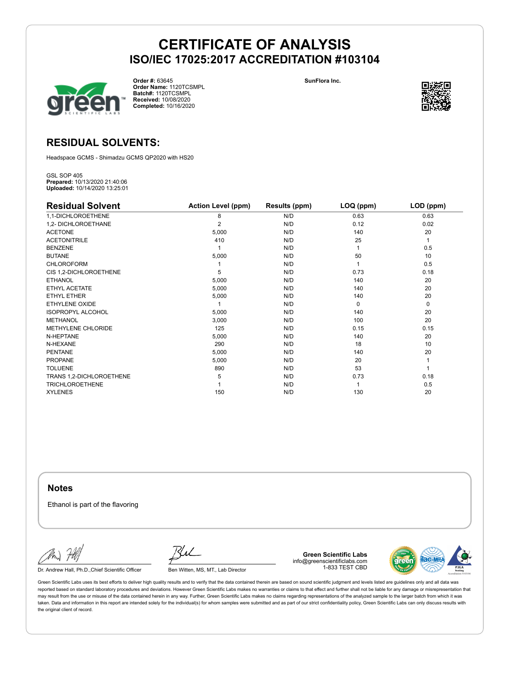

**Order #:** 63645 **Order Name:** 1120TCSMPL **Batch#:** 1120TCSMPL **Received:** 10/08/2020 **Completed:** 10/16/2020

**SunFlora Inc.**



### **RESIDUAL SOLVENTS:**

Headspace GCMS - Shimadzu GCMS QP2020 with HS20

GSL SOP 405 **Prepared:** 10/13/2020 21:40:06 **Uploaded:** 10/14/2020 13:25:01

| <b>Residual Solvent</b>  | <b>Action Level (ppm)</b> | Results (ppm) | LOQ (ppm) | LOD (ppm) |
|--------------------------|---------------------------|---------------|-----------|-----------|
| 1,1-DICHLOROETHENE       | 8                         | N/D           | 0.63      | 0.63      |
| 1,2- DICHLOROETHANE      | $\overline{2}$            | N/D           | 0.12      | 0.02      |
| <b>ACETONE</b>           | 5,000                     | N/D           | 140       | 20        |
| <b>ACETONITRILE</b>      | 410                       | N/D           | 25        | 1         |
| <b>BENZENE</b>           |                           | N/D           |           | 0.5       |
| <b>BUTANE</b>            | 5,000                     | N/D           | 50        | 10        |
| <b>CHLOROFORM</b>        |                           | N/D           |           | 0.5       |
| CIS 1,2-DICHLOROETHENE   | 5                         | N/D           | 0.73      | 0.18      |
| <b>ETHANOL</b>           | 5,000                     | N/D           | 140       | 20        |
| ETHYL ACETATE            | 5,000                     | N/D           | 140       | 20        |
| <b>ETHYL ETHER</b>       | 5,000                     | N/D           | 140       | 20        |
| ETHYLENE OXIDE           |                           | N/D           | 0         | 0         |
| <b>ISOPROPYL ALCOHOL</b> | 5,000                     | N/D           | 140       | 20        |
| <b>METHANOL</b>          | 3,000                     | N/D           | 100       | 20        |
| METHYLENE CHLORIDE       | 125                       | N/D           | 0.15      | 0.15      |
| N-HEPTANE                | 5,000                     | N/D           | 140       | 20        |
| N-HEXANE                 | 290                       | N/D           | 18        | 10        |
| <b>PENTANE</b>           | 5,000                     | N/D           | 140       | 20        |
| PROPANE                  | 5,000                     | N/D           | 20        |           |
| <b>TOLUENE</b>           | 890                       | N/D           | 53        |           |
| TRANS 1,2-DICHLOROETHENE | 5                         | N/D           | 0.73      | 0.18      |
| <b>TRICHLOROETHENE</b>   |                           | N/D           |           | 0.5       |
| <b>XYLENES</b>           | 150                       | N/D           | 130       | 20        |

**Notes**

Ethanol is part of the flavoring

Dr. Andrew Hall, Ph.D., Chief Scientific Officer Ben Witten, MS, MT., Lab Director

**Green Scientific Labs** info@greenscientificlabs.com 1-833 TEST CBD

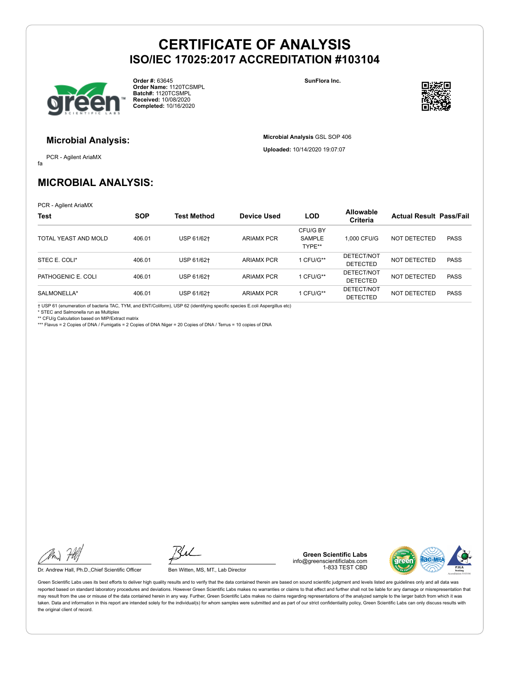

**Order #:** 63645 **Order Name:** 1120TCSMPL **Batch#:** 1120TCSMPL **Received:** 10/08/2020 **Completed:** 10/16/2020

**SunFlora Inc.**

**Microbial Analysis** GSL SOP 406 **Uploaded:** 10/14/2020 19:07:07



#### **Microbial Analysis:**

fa PCR - Agilent AriaMX

# **MICROBIAL ANALYSIS:**

PCR - Agilent AriaMX

| <b>Test</b>          | <b>SOP</b> | Test Method | <b>Device Used</b> | <b>LOD</b>                          | <b>Allowable</b><br><b>Criteria</b> | <b>Actual Result Pass/Fail</b> |             |
|----------------------|------------|-------------|--------------------|-------------------------------------|-------------------------------------|--------------------------------|-------------|
| TOTAL YEAST AND MOLD | 406.01     | USP 61/62+  | <b>ARIAMX PCR</b>  | CFU/G BY<br><b>SAMPLE</b><br>TYPE** | 1.000 CFU/G                         | NOT DETECTED                   | <b>PASS</b> |
| STEC E. COLI*        | 406.01     | USP 61/62+  | <b>ARIAMX PCR</b>  | CFU/G**                             | DETECT/NOT<br>DETECTED              | NOT DETECTED                   | <b>PASS</b> |
| PATHOGENIC E. COLI   | 406.01     | USP 61/62+  | <b>ARIAMX PCR</b>  | CFU/G**                             | DETECT/NOT<br><b>DETECTED</b>       | NOT DETECTED                   | <b>PASS</b> |
| SALMONELLA*          | 406.01     | USP 61/62†  | <b>ARIAMX PCR</b>  | CFU/G**                             | DETECT/NOT<br><b>DETECTED</b>       | NOT DETECTED                   | <b>PASS</b> |

† USP 61 (enumeration of bacteria TAC, TYM, and ENT/Coliform), USP 62 (identifying specific species E.coli Aspergillus etc)

\* STEC and Salmonella run as Multiplex

\*\* CFU/g Calculation based on MIP/Extract matrix \*\*\* Flavus = 2 Copies of DNA / Fumigatis = 2 Copies of DNA Niger = 20 Copies of DNA / Terrus = 10 copies of DNA

Dr. Andrew Hall, Ph.D., Chief Scientific Officer Ben Witten, MS, MT., Lab Director

**Green Scientific Labs** info@greenscientificlabs.com 1-833 TEST CBD